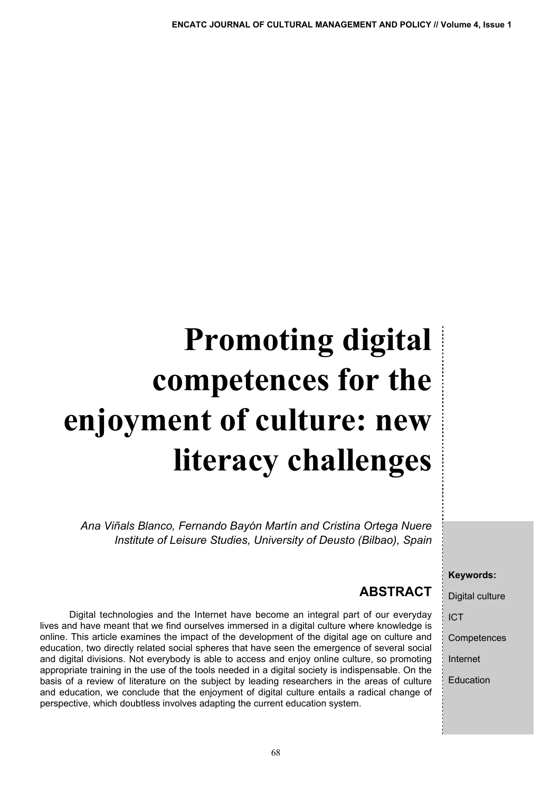# **Promoting digital competences for the enjoyment of culture: new literacy challenges**

*Ana Viñals Blanco, Fernando Bayón Martín and Cristina Ortega Nuere Institute of Leisure Studies, University of Deusto (Bilbao), Spain*

Digital technologies and the Internet have become an integral part of our everyday lives and have meant that we find ourselves immersed in a digital culture where knowledge is online. This article examines the impact of the development of the digital age on culture and education, two directly related social spheres that have seen the emergence of several social and digital divisions. Not everybody is able to access and enjoy online culture, so promoting appropriate training in the use of the tools needed in a digital society is indispensable. On the basis of a review of literature on the subject by leading researchers in the areas of culture and education, we conclude that the enjoyment of digital culture entails a radical change of

perspective, which doubtless involves adapting the current education system.

#### **Keywords:**

Digital culture

ICT

**Competences** 

Internet

Education

#### **ABSTRACT**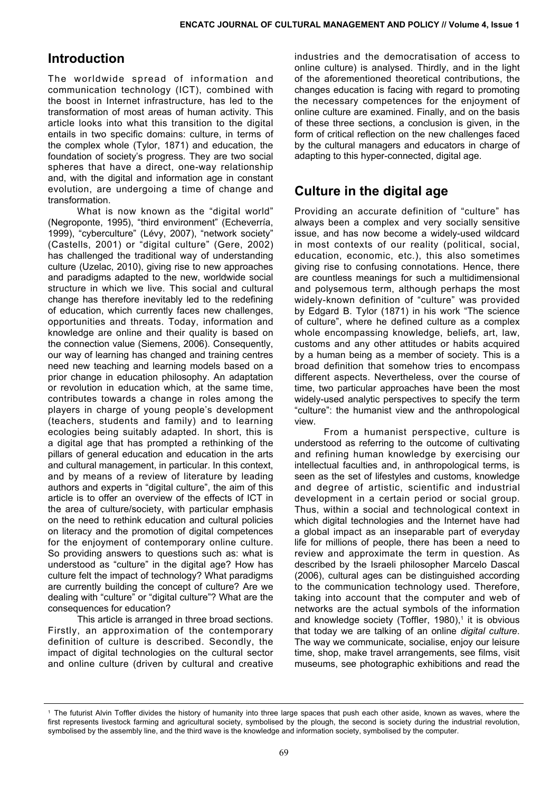## **Introduction**

The worldwide spread of information and communication technology (ICT), combined with the boost in Internet infrastructure, has led to the transformation of most areas of human activity. This article looks into what this transition to the digital entails in two specific domains: culture, in terms of the complex whole (Tylor, 1871) and education, the foundation of society's progress. They are two social spheres that have a direct, one-way relationship and, with the digital and information age in constant evolution, are undergoing a time of change and transformation.

What is now known as the "digital world" (Negroponte, 1995), "third environment" (Echeverría, 1999), "cyberculture" (Lévy, 2007), "network society" (Castells, 2001) or "digital culture" (Gere, 2002) has challenged the traditional way of understanding culture (Uzelac, 2010), giving rise to new approaches and paradigms adapted to the new, worldwide social structure in which we live. This social and cultural change has therefore inevitably led to the redefining of education, which currently faces new challenges, opportunities and threats. Today, information and knowledge are online and their quality is based on the connection value (Siemens, 2006). Consequently, our way of learning has changed and training centres need new teaching and learning models based on a prior change in education philosophy. An adaptation or revolution in education which, at the same time, contributes towards a change in roles among the players in charge of young people's development (teachers, students and family) and to learning ecologies being suitably adapted. In short, this is a digital age that has prompted a rethinking of the pillars of general education and education in the arts and cultural management, in particular. In this context, and by means of a review of literature by leading authors and experts in "digital culture", the aim of this article is to offer an overview of the effects of ICT in the area of culture/society, with particular emphasis on the need to rethink education and cultural policies on literacy and the promotion of digital competences for the enjoyment of contemporary online culture. So providing answers to questions such as: what is understood as "culture" in the digital age? How has culture felt the impact of technology? What paradigms are currently building the concept of culture? Are we dealing with "culture" or "digital culture"? What are the consequences for education?

This article is arranged in three broad sections. Firstly, an approximation of the contemporary definition of culture is described. Secondly, the impact of digital technologies on the cultural sector and online culture (driven by cultural and creative industries and the democratisation of access to online culture) is analysed. Thirdly, and in the light of the aforementioned theoretical contributions, the changes education is facing with regard to promoting the necessary competences for the enjoyment of online culture are examined. Finally, and on the basis of these three sections, a conclusion is given, in the form of critical reflection on the new challenges faced by the cultural managers and educators in charge of adapting to this hyper-connected, digital age.

## **Culture in the digital age**

Providing an accurate definition of "culture" has always been a complex and very socially sensitive issue, and has now become a widely-used wildcard in most contexts of our reality (political, social, education, economic, etc.), this also sometimes giving rise to confusing connotations. Hence, there are countless meanings for such a multidimensional and polysemous term, although perhaps the most widely-known definition of "culture" was provided by Edgard B. Tylor (1871) in his work "The science of culture", where he defined culture as a complex whole encompassing knowledge, beliefs, art, law, customs and any other attitudes or habits acquired by a human being as a member of society. This is a broad definition that somehow tries to encompass different aspects. Nevertheless, over the course of time, two particular approaches have been the most widely-used analytic perspectives to specify the term "culture": the humanist view and the anthropological view.

From a humanist perspective, culture is understood as referring to the outcome of cultivating and refining human knowledge by exercising our intellectual faculties and, in anthropological terms, is seen as the set of lifestyles and customs, knowledge and degree of artistic, scientific and industrial development in a certain period or social group. Thus, within a social and technological context in which digital technologies and the Internet have had a global impact as an inseparable part of everyday life for millions of people, there has been a need to review and approximate the term in question. As described by the Israeli philosopher Marcelo Dascal (2006), cultural ages can be distinguished according to the communication technology used. Therefore, taking into account that the computer and web of networks are the actual symbols of the information and knowledge society (Toffler, 1980),<sup>1</sup> it is obvious that today we are talking of an online *digital culture*. The way we communicate, socialise, enjoy our leisure time, shop, make travel arrangements, see films, visit museums, see photographic exhibitions and read the

The futurist Alvin Toffler divides the history of humanity into three large spaces that push each other aside, known as waves, where the first represents livestock farming and agricultural society, symbolised by the plough, the second is society during the industrial revolution, symbolised by the assembly line, and the third wave is the knowledge and information society, symbolised by the computer.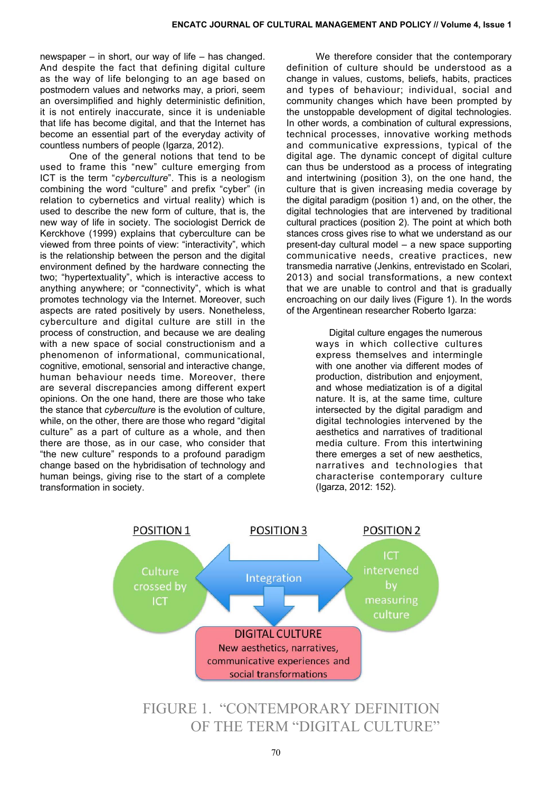newspaper – in short, our way of life – has changed. And despite the fact that defining digital culture as the way of life belonging to an age based on postmodern values and networks may, a priori, seem an oversimplified and highly deterministic definition, it is not entirely inaccurate, since it is undeniable that life has become digital, and that the Internet has become an essential part of the everyday activity of countless numbers of people (Igarza, 2012).

One of the general notions that tend to be used to frame this "new" culture emerging from ICT is the term "*cyberculture*". This is a neologism combining the word "culture" and prefix "cyber" (in relation to cybernetics and virtual reality) which is used to describe the new form of culture, that is, the new way of life in society. The sociologist Derrick de Kerckhove (1999) explains that cyberculture can be viewed from three points of view: "interactivity", which is the relationship between the person and the digital environment defined by the hardware connecting the two; "hypertextuality", which is interactive access to anything anywhere; or "connectivity", which is what promotes technology via the Internet. Moreover, such aspects are rated positively by users. Nonetheless, cyberculture and digital culture are still in the process of construction, and because we are dealing with a new space of social constructionism and a phenomenon of informational, communicational, cognitive, emotional, sensorial and interactive change, human behaviour needs time. Moreover, there are several discrepancies among different expert opinions. On the one hand, there are those who take the stance that *cyberculture* is the evolution of culture, while, on the other, there are those who regard "digital culture" as a part of culture as a whole, and then there are those, as in our case, who consider that "the new culture" responds to a profound paradigm change based on the hybridisation of technology and human beings, giving rise to the start of a complete transformation in society.

We therefore consider that the contemporary definition of culture should be understood as a change in values, customs, beliefs, habits, practices and types of behaviour; individual, social and community changes which have been prompted by the unstoppable development of digital technologies. In other words, a combination of cultural expressions, technical processes, innovative working methods and communicative expressions, typical of the digital age. The dynamic concept of digital culture can thus be understood as a process of integrating and intertwining (position 3), on the one hand, the culture that is given increasing media coverage by the digital paradigm (position 1) and, on the other, the digital technologies that are intervened by traditional cultural practices (position 2). The point at which both stances cross gives rise to what we understand as our present-day cultural model – a new space supporting communicative needs, creative practices, new transmedia narrative (Jenkins, entrevistado en Scolari, 2013) and social transformations, a new context that we are unable to control and that is gradually encroaching on our daily lives (Figure 1). In the words of the Argentinean researcher Roberto Igarza:

> Digital culture engages the numerous ways in which collective cultures express themselves and intermingle with one another via different modes of production, distribution and enjoyment, and whose mediatization is of a digital nature. It is, at the same time, culture intersected by the digital paradigm and digital technologies intervened by the aesthetics and narratives of traditional media culture. From this intertwining there emerges a set of new aesthetics, narratives and technologies that characterise contemporary culture (Igarza, 2012: 152).



FIGURE 1. "CONTEMPORARY DEFINITION OF THE TERM "DIGITAL CULTURE"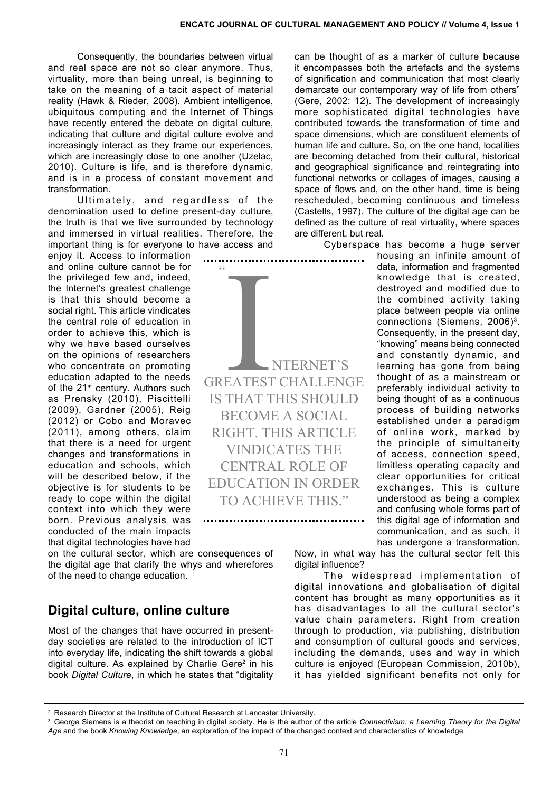. . . . . . . . .

Consequently, the boundaries between virtual and real space are not so clear anymore. Thus, virtuality, more than being unreal, is beginning to take on the meaning of a tacit aspect of material reality (Hawk & Rieder, 2008). Ambient intelligence, ubiquitous computing and the Internet of Things have recently entered the debate on digital culture, indicating that culture and digital culture evolve and increasingly interact as they frame our experiences, which are increasingly close to one another (Uzelac, 2010). Culture is life, and is therefore dynamic, and is in a process of constant movement and transformation.

Ultimately, and regardless of the denomination used to define present-day culture, the truth is that we live surrounded by technology and immersed in virtual realities. Therefore, the important thing is for everyone to have access and

 $C$ 

**THERNET'S STATES AND A THERNET'** 

greatest challenge IS THAT THIS SHOULD become a social right. This article vindicates the central role of education in order TO ACHIEVE THIS"

enjoy it. Access to information and online culture cannot be for the privileged few and, indeed, the Internet's greatest challenge is that this should become a social right. This article vindicates the central role of education in order to achieve this, which is why we have based ourselves on the opinions of researchers who concentrate on promoting education adapted to the needs of the 21<sup>st</sup> century. Authors such as Prensky (2010), Piscittelli (2009), Gardner (2005), Reig (2012) or Cobo and Moravec (2011), among others, claim that there is a need for urgent changes and transformations in education and schools, which will be described below, if the objective is for students to be ready to cope within the digital context into which they were born. Previous analysis was conducted of the main impacts that digital technologies have had

on the cultural sector, which are consequences of the digital age that clarify the whys and wherefores of the need to change education.

#### **Digital culture, online culture**

Most of the changes that have occurred in presentday societies are related to the introduction of ICT into everyday life, indicating the shift towards a global digital culture. As explained by Charlie Gere $2$  in his book *Digital Culture*, in which he states that "digitality

can be thought of as a marker of culture because it encompasses both the artefacts and the systems of signification and communication that most clearly demarcate our contemporary way of life from others" (Gere, 2002: 12). The development of increasingly more sophisticated digital technologies have contributed towards the transformation of time and space dimensions, which are constituent elements of human life and culture. So, on the one hand, localities are becoming detached from their cultural, historical and geographical significance and reintegrating into functional networks or collages of images, causing a space of flows and, on the other hand, time is being rescheduled, becoming continuous and timeless (Castells, 1997). The culture of the digital age can be defined as the culture of real virtuality, where spaces are different, but real.

Cyberspace has become a huge server

housing an infinite amount of data, information and fragmented knowledge that is created, destroyed and modified due to the combined activity taking place between people via online connections (Siemens, 2006)<sup>3</sup>. Consequently, in the present day, "knowing" means being connected and constantly dynamic, and learning has gone from being thought of as a mainstream or preferably individual activity to being thought of as a continuous process of building networks established under a paradigm of online work, marked by the principle of simultaneity of access, connection speed, limitless operating capacity and clear opportunities for critical exchanges. This is culture understood as being a complex and confusing whole forms part of this digital age of information and communication, and as such, it has undergone a transformation.

Now, in what way has the cultural sector felt this digital influence?

The widespread implementation of digital innovations and globalisation of digital content has brought as many opportunities as it has disadvantages to all the cultural sector's value chain parameters. Right from creation through to production, via publishing, distribution and consumption of cultural goods and services, including the demands, uses and way in which culture is enjoyed (European Commission, 2010b), it has yielded significant benefits not only for

<sup>&</sup>lt;sup>2</sup> Research Director at the Institute of Cultural Research at Lancaster University.

<sup>3</sup> George Siemens is a theorist on teaching in digital society. He is the author of the article *Connectivism: a Learning Theory for the Digital Age* and the book *Knowing Knowledge*, an exploration of the impact of the changed context and characteristics of knowledge.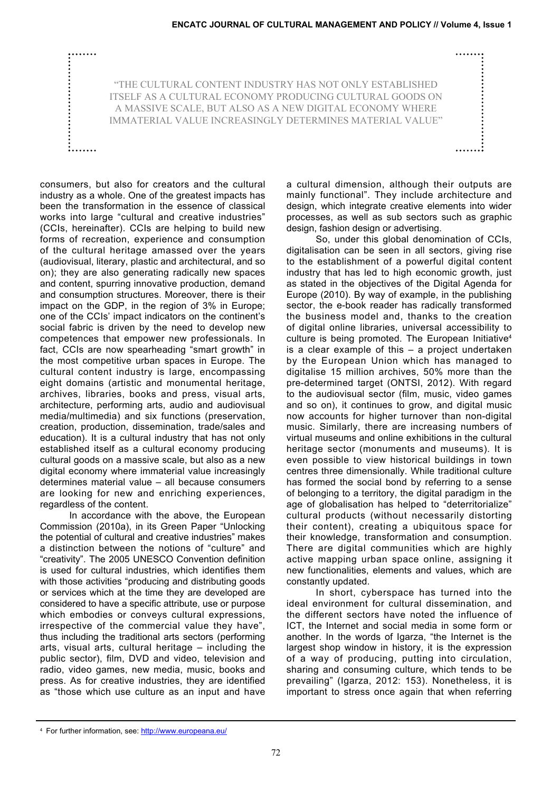"THE CULTURAL CONTENT INDUSTRY has not only established itself as a cultural economy producing cultural goods on a massive scale, but also as a new digital economy where immaterial value increasingly determines material value"

consumers, but also for creators and the cultural industry as a whole. One of the greatest impacts has been the transformation in the essence of classical works into large "cultural and creative industries" (CCIs, hereinafter). CCIs are helping to build new forms of recreation, experience and consumption of the cultural heritage amassed over the years (audiovisual, literary, plastic and architectural, and so on); they are also generating radically new spaces and content, spurring innovative production, demand and consumption structures. Moreover, there is their impact on the GDP, in the region of 3% in Europe; one of the CCIs' impact indicators on the continent's social fabric is driven by the need to develop new competences that empower new professionals. In fact, CCIs are now spearheading "smart growth" in the most competitive urban spaces in Europe. The cultural content industry is large, encompassing eight domains (artistic and monumental heritage, archives, libraries, books and press, visual arts, architecture, performing arts, audio and audiovisual media/multimedia) and six functions (preservation, creation, production, dissemination, trade/sales and education). It is a cultural industry that has not only established itself as a cultural economy producing cultural goods on a massive scale, but also as a new digital economy where immaterial value increasingly determines material value – all because consumers are looking for new and enriching experiences, regardless of the content.

........

2. . . . . . .

In accordance with the above, the European Commission (2010a), in its Green Paper "Unlocking the potential of cultural and creative industries" makes a distinction between the notions of "culture" and "creativity". The 2005 UNESCO Convention definition is used for cultural industries, which identifies them with those activities "producing and distributing goods or services which at the time they are developed are considered to have a specific attribute, use or purpose which embodies or conveys cultural expressions, irrespective of the commercial value they have", thus including the traditional arts sectors (performing arts, visual arts, cultural heritage – including the public sector), film, DVD and video, television and radio, video games, new media, music, books and press. As for creative industries, they are identified as "those which use culture as an input and have

a cultural dimension, although their outputs are mainly functional". They include architecture and design, which integrate creative elements into wider processes, as well as sub sectors such as graphic design, fashion design or advertising.

........

So, under this global denomination of CCIs, digitalisation can be seen in all sectors, giving rise to the establishment of a powerful digital content industry that has led to high economic growth, just as stated in the objectives of the Digital Agenda for Europe (2010). By way of example, in the publishing sector, the e-book reader has radically transformed the business model and, thanks to the creation of digital online libraries, universal accessibility to culture is being promoted. The European Initiative<sup>4</sup> is a clear example of this – a project undertaken by the European Union which has managed to digitalise 15 million archives, 50% more than the pre-determined target (ONTSI, 2012). With regard to the audiovisual sector (film, music, video games and so on), it continues to grow, and digital music now accounts for higher turnover than non-digital music. Similarly, there are increasing numbers of virtual museums and online exhibitions in the cultural heritage sector (monuments and museums). It is even possible to view historical buildings in town centres three dimensionally. While traditional culture has formed the social bond by referring to a sense of belonging to a territory, the digital paradigm in the age of globalisation has helped to "deterritorialize" cultural products (without necessarily distorting their content), creating a ubiquitous space for their knowledge, transformation and consumption. There are digital communities which are highly active mapping urban space online, assigning it new functionalities, elements and values, which are constantly updated.

In short, cyberspace has turned into the ideal environment for cultural dissemination, and the different sectors have noted the influence of ICT, the Internet and social media in some form or another. In the words of Igarza, "the Internet is the largest shop window in history, it is the expression of a way of producing, putting into circulation, sharing and consuming culture, which tends to be prevailing" (Igarza, 2012: 153). Nonetheless, it is important to stress once again that when referring

<sup>4</sup> For further information, see: [http://www.europeana.eu](http://www.europeana.eu/)/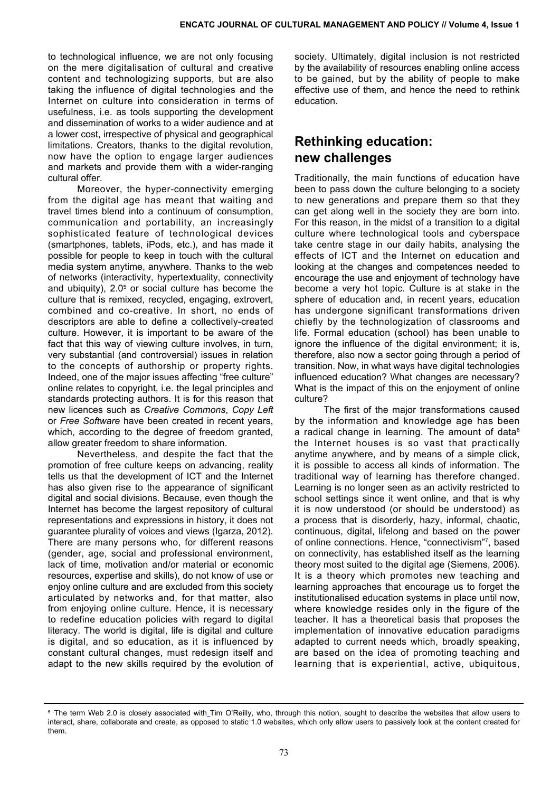to technological influence, we are not only focusing on the mere digitalisation of cultural and creative content and technologizing supports, but are also taking the influence of digital technologies and the Internet on culture into consideration in terms of usefulness, i.e. as tools supporting the development and dissemination of works to a wider audience and at a lower cost, irrespective of physical and geographical limitations. Creators, thanks to the digital revolution, now have the option to engage larger audiences and markets and provide them with a wider-ranging cultural offer.

Moreover, the hyper-connectivity emerging from the digital age has meant that waiting and travel times blend into a continuum of consumption, communication and portability, an increasingly sophisticated feature of technological devices (smartphones, tablets, iPods, etc.), and has made it possible for people to keep in touch with the cultural media system anytime, anywhere. Thanks to the web of networks (interactivity, hypertextuality, connectivity and ubiquity),  $2.0<sup>5</sup>$  or social culture has become the culture that is remixed, recycled, engaging, extrovert, combined and co-creative. In short, no ends of descriptors are able to define a collectively-created culture. However, it is important to be aware of the fact that this way of viewing culture involves, in turn, very substantial (and controversial) issues in relation to the concepts of authorship or property rights. Indeed, one of the major issues affecting "free culture" online relates to copyright, i.e. the legal principles and standards protecting authors. It is for this reason that new licences such as *Creative Commons*, *Copy Left* or *Free Software* have been created in recent years, which, according to the degree of freedom granted, allow greater freedom to share information.

Nevertheless, and despite the fact that the promotion of free culture keeps on advancing, reality tells us that the development of ICT and the Internet has also given rise to the appearance of significant digital and social divisions. Because, even though the Internet has become the largest repository of cultural representations and expressions in history, it does not guarantee plurality of voices and views (Igarza, 2012). There are many persons who, for different reasons (gender, age, social and professional environment, lack of time, motivation and/or material or economic resources, expertise and skills), do not know of use or enjoy online culture and are excluded from this society articulated by networks and, for that matter, also from enjoying online culture. Hence, it is necessary to redefine education policies with regard to digital literacy. The world is digital, life is digital and culture is digital, and so education, as it is influenced by constant cultural changes, must redesign itself and adapt to the new skills required by the evolution of

society. Ultimately, digital inclusion is not restricted by the availability of resources enabling online access to be gained, but by the ability of people to make effective use of them, and hence the need to rethink education.

# **Rethinking education: new challenges**

Traditionally, the main functions of education have been to pass down the culture belonging to a society to new generations and prepare them so that they can get along well in the society they are born into. For this reason, in the midst of a transition to a digital culture where technological tools and cyberspace take centre stage in our daily habits, analysing the effects of ICT and the Internet on education and looking at the changes and competences needed to encourage the use and enjoyment of technology have become a very hot topic. Culture is at stake in the sphere of education and, in recent years, education has undergone significant transformations driven chiefly by the technologization of classrooms and life. Formal education (school) has been unable to ignore the influence of the digital environment; it is, therefore, also now a sector going through a period of transition. Now, in what ways have digital technologies influenced education? What changes are necessary? What is the impact of this on the enjoyment of online culture?

The first of the major transformations caused by the information and knowledge age has been a radical change in learning. The amount of data<sup>6</sup> the Internet houses is so vast that practically anytime anywhere, and by means of a simple click, it is possible to access all kinds of information. The traditional way of learning has therefore changed. Learning is no longer seen as an activity restricted to school settings since it went online, and that is why it is now understood (or should be understood) as a process that is disorderly, hazy, informal, chaotic, continuous, digital, lifelong and based on the power of online connections. Hence, "connectivism"7 , based on connectivity, has established itself as the learning theory most suited to the digital age (Siemens, 2006). It is a theory which promotes new teaching and learning approaches that encourage us to forget the institutionalised education systems in place until now, where knowledge resides only in the figure of the teacher. It has a theoretical basis that proposes the implementation of innovative education paradigms adapted to current needs which, broadly speaking, are based on the idea of promoting teaching and learning that is experiential, active, ubiquitous,

<sup>&</sup>lt;sup>5</sup> T[h](http://es.wikipedia.org/wiki/Tim_O)e term Web 2.0 is closely associated with\_Tim O'Reilly, who, through this notion, sought to describe the websites that allow users to interact, share, collaborate and create, as opposed to static 1.0 websites, which only allow users to passively look at the content created for them.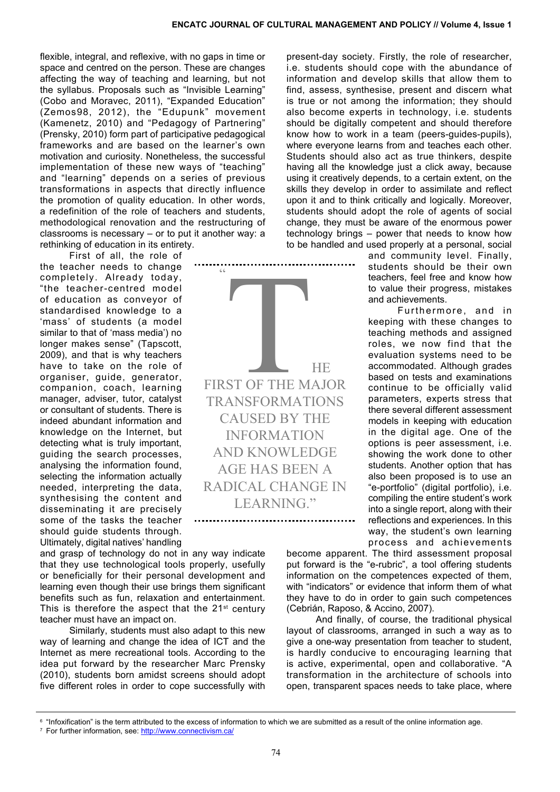flexible, integral, and reflexive, with no gaps in time or space and centred on the person. These are changes affecting the way of teaching and learning, but not the syllabus. Proposals such as "Invisible Learning" (Cobo and Moravec, 2011), "Expanded Education" (Zemos98, 2012), the "Edupunk" movement (Kamenetz, 2010) and "Pedagogy of Partnering" (Prensky, 2010) form part of participative pedagogical frameworks and are based on the learner's own motivation and curiosity. Nonetheless, the successful implementation of these new ways of "teaching" and "learning" depends on a series of previous transformations in aspects that directly influence the promotion of quality education. In other words, a redefinition of the role of teachers and students, methodological renovation and the restructuring of classrooms is necessary – or to put it another way: a rethinking of education in its entirety.

 $\subset \subset$ 

transformations of the control of the control of the control of the control of the control of the control of the control of the control of the control of the control of the control of the control of the control of the cont

ST OF THE M

first of the major

caused by the

and knowledge age has been a radical change in LEARNING."

..............

**INFORMATION** 

First of all, the role of

the teacher needs to change completely. Already today, "the teacher-centred model of education as conveyor of standardised knowledge to a 'mass' of students (a model similar to that of 'mass media') no longer makes sense" (Tapscott, 2009), and that is why teachers have to take on the role of organiser, guide, generator, companion, coach, learning manager, adviser, tutor, catalyst or consultant of students. There is indeed abundant information and knowledge on the Internet, but detecting what is truly important, guiding the search processes, analysing the information found, selecting the information actually needed, interpreting the data, synthesising the content and disseminating it are precisely some of the tasks the teacher should guide students through. Ultimately, digital natives' handling

and grasp of technology do not in any way indicate that they use technological tools properly, usefully or beneficially for their personal development and learning even though their use brings them significant benefits such as fun, relaxation and entertainment. This is therefore the aspect that the  $21<sup>st</sup>$  century teacher must have an impact on.

Similarly, students must also adapt to this new way of learning and change the idea of ICT and the Internet as mere recreational tools. According to the idea put forward by the researcher Marc Prensky (2010), students born amidst screens should adopt five different roles in order to cope successfully with

present-day society. Firstly, the role of researcher, i.e. students should cope with the abundance of information and develop skills that allow them to find, assess, synthesise, present and discern what is true or not among the information; they should also become experts in technology, i.e. students should be digitally competent and should therefore know how to work in a team (peers-guides-pupils), where everyone learns from and teaches each other. Students should also act as true thinkers, despite having all the knowledge just a click away, because using it creatively depends, to a certain extent, on the skills they develop in order to assimilate and reflect upon it and to think critically and logically. Moreover, students should adopt the role of agents of social change, they must be aware of the enormous power technology brings – power that needs to know how to be handled and used properly at a personal, social

> and community level. Finally, students should be their own teachers, feel free and know how to value their progress, mistakes and achievements.

> Furthermore, and in keeping with these changes to teaching methods and assigned roles, we now find that the evaluation systems need to be accommodated. Although grades based on tests and examinations continue to be officially valid parameters, experts stress that there several different assessment models in keeping with education in the digital age. One of the options is peer assessment, i.e. showing the work done to other students. Another option that has also been proposed is to use an "e-portfolio" (digital portfolio), i.e. compiling the entire student's work into a single report, along with their reflections and experiences. In this way, the student's own learning process and achievements

become apparent. The third assessment proposal put forward is the "e-rubric", a tool offering students information on the competences expected of them, with "indicators" or evidence that inform them of what they have to do in order to gain such competences (Cebrián, Raposo, & Accino, 2007).

And finally, of course, the traditional physical layout of classrooms, arranged in such a way as to give a one-way presentation from teacher to student, is hardly conducive to encouraging learning that is active, experimental, open and collaborative. "A transformation in the architecture of schools into open, transparent spaces needs to take place, where



<sup>7</sup> For further information, see: [http://www.connectivism.ca](http://www.connectivism.ca/)/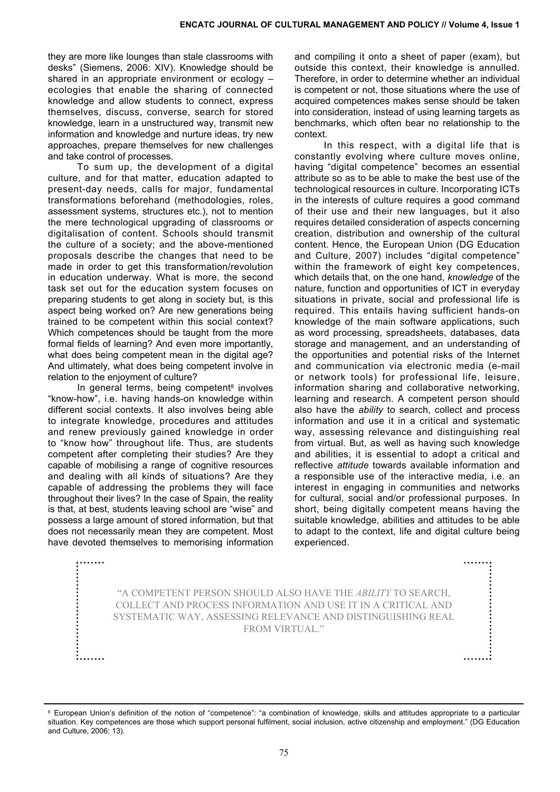they are more like lounges than stale classrooms with desks" (Siemens, 2006: XIV). Knowledge should be shared in an appropriate environment or ecology – ecologies that enable the sharing of connected knowledge and allow students to connect, express themselves, discuss, converse, search for stored knowledge, learn in a unstructured way, transmit new information and knowledge and nurture ideas, try new approaches, prepare themselves for new challenges and take control of processes.

To sum up, the development of a digital culture, and for that matter, education adapted to present-day needs, calls for major, fundamental transformations beforehand (methodologies, roles, assessment systems, structures etc.), not to mention the mere technological upgrading of classrooms or digitalisation of content. Schools should transmit the culture of a society; and the above-mentioned proposals describe the changes that need to be made in order to get this transformation/revolution in education underway. What is more, the second task set out for the education system focuses on preparing students to get along in society but, is this aspect being worked on? Are new generations being trained to be competent within this social context? Which competences should be taught from the more formal fields of learning? And even more importantly, what does being competent mean in the digital age? And ultimately, what does being competent involve in relation to the enjoyment of culture?

In general terms, being competent $8$  involves "know-how", i.e. having hands-on knowledge within different social contexts. It also involves being able to integrate knowledge, procedures and attitudes and renew previously gained knowledge in order to "know how" throughout life. Thus, are students competent after completing their studies? Are they capable of mobilising a range of cognitive resources and dealing with all kinds of situations? Are they capable of addressing the problems they will face throughout their lives? In the case of Spain, the reality is that, at best, students leaving school are "wise" and possess a large amount of stored information, but that does not necessarily mean they are competent. Most have devoted themselves to memorising information

........

and compiling it onto a sheet of paper (exam), but outside this context, their knowledge is annulled. Therefore, in order to determine whether an individual is competent or not, those situations where the use of acquired competences makes sense should be taken into consideration, instead of using learning targets as benchmarks, which often bear no relationship to the context.

In this respect, with a digital life that is constantly evolving where culture moves online, having "digital competence" becomes an essential attribute so as to be able to make the best use of the technological resources in culture. Incorporating ICTs in the interests of culture requires a good command of their use and their new languages, but it also requires detailed consideration of aspects concerning creation, distribution and ownership of the cultural content. Hence, the European Union (DG Education and Culture, 2007) includes "digital competence" within the framework of eight key competences, which details that, on the one hand, *knowledge* of the nature, function and opportunities of ICT in everyday situations in private, social and professional life is required. This entails having sufficient hands-on knowledge of the main software applications, such as word processing, spreadsheets, databases, data storage and management, and an understanding of the opportunities and potential risks of the Internet and communication via electronic media (e-mail or network tools) for professional life, leisure, information sharing and collaborative networking, learning and research. A competent person should also have the *ability* to search, collect and process information and use it in a critical and systematic way, assessing relevance and distinguishing real from virtual. But, as well as having such knowledge and abilities, it is essential to adopt a critical and reflective *attitude* towards available information and a responsible use of the interactive media, i.e. an interest in engaging in communities and networks for cultural, social and/or professional purposes. In short, being digitally competent means having the suitable knowledge, abilities and attitudes to be able to adapt to the context, life and digital culture being experienced.

........

"A competent person should also have the *ability* to search, collect and process information and use it in a critical and systematic way, assessing relevance and distinguishing real from virtual."

<sup>&</sup>lt;sup>8</sup> European Union's definition of the notion of "competence": "a combination of knowledge, skills and attitudes appropriate to a particular situation. Key competences are those which support personal fulfilment, social inclusion, active citizenship and employment." (DG Education and Culture, 2006: 13).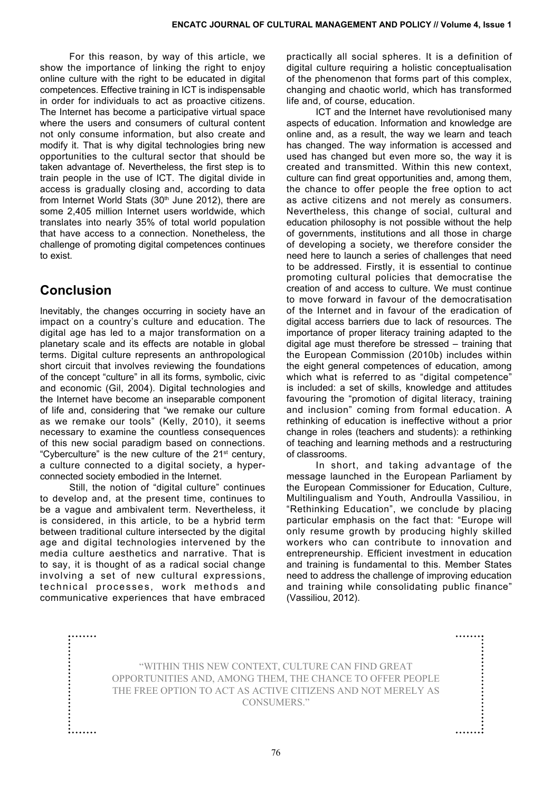For this reason, by way of this article, we show the importance of linking the right to enjoy online culture with the right to be educated in digital competences. Effective training in ICT is indispensable in order for individuals to act as proactive citizens. The Internet has become a participative virtual space where the users and consumers of cultural content not only consume information, but also create and modify it. That is why digital technologies bring new opportunities to the cultural sector that should be taken advantage of. Nevertheless, the first step is to train people in the use of ICT. The digital divide in access is gradually closing and, according to data from Internet World Stats (30<sup>th</sup> June 2012), there are some 2,405 million Internet users worldwide, which translates into nearly 35% of total world population that have access to a connection. Nonetheless, the challenge of promoting digital competences continues to exist.

#### **Conclusion**

.......

Inevitably, the changes occurring in society have an impact on a country's culture and education. The digital age has led to a major transformation on a planetary scale and its effects are notable in global terms. Digital culture represents an anthropological short circuit that involves reviewing the foundations of the concept "culture" in all its forms, symbolic, civic and economic (Gil, 2004). Digital technologies and the Internet have become an inseparable component of life and, considering that "we remake our culture as we remake our tools" (Kelly, 2010), it seems necessary to examine the countless consequences of this new social paradigm based on connections. "Cyberculture" is the new culture of the  $21<sup>st</sup>$  century, a culture connected to a digital society, a hyperconnected society embodied in the Internet.

Still, the notion of "digital culture" continues to develop and, at the present time, continues to be a vague and ambivalent term. Nevertheless, it is considered, in this article, to be a hybrid term between traditional culture intersected by the digital age and digital technologies intervened by the media culture aesthetics and narrative. That is to say, it is thought of as a radical social change involving a set of new cultural expressions, technical processes, work methods and communicative experiences that have embraced

practically all social spheres. It is a definition of digital culture requiring a holistic conceptualisation of the phenomenon that forms part of this complex, changing and chaotic world, which has transformed life and, of course, education.

ICT and the Internet have revolutionised many aspects of education. Information and knowledge are online and, as a result, the way we learn and teach has changed. The way information is accessed and used has changed but even more so, the way it is created and transmitted. Within this new context, culture can find great opportunities and, among them, the chance to offer people the free option to act as active citizens and not merely as consumers. Nevertheless, this change of social, cultural and education philosophy is not possible without the help of governments, institutions and all those in charge of developing a society, we therefore consider the need here to launch a series of challenges that need to be addressed. Firstly, it is essential to continue promoting cultural policies that democratise the creation of and access to culture. We must continue to move forward in favour of the democratisation of the Internet and in favour of the eradication of digital access barriers due to lack of resources. The importance of proper literacy training adapted to the digital age must therefore be stressed – training that the European Commission (2010b) includes within the eight general competences of education, among which what is referred to as "digital competence" is included: a set of skills, knowledge and attitudes favouring the "promotion of digital literacy, training and inclusion" coming from formal education. A rethinking of education is ineffective without a prior change in roles (teachers and students): a rethinking of teaching and learning methods and a restructuring of classrooms.

In short, and taking advantage of the message launched in the European Parliament by the [European Commissioner for Education, Culture,](http://en.wikipedia.org/wiki/European_Commissioner_for_Education,_Culture,_Multilingualism_and_Youth) [Multilingualism and Youth](http://en.wikipedia.org/wiki/European_Commissioner_for_Education,_Culture,_Multilingualism_and_Youth), Androulla Vassiliou, in "Rethinking Education", we conclude by placing particular emphasis on the fact that: "Europe will only resume growth by producing highly skilled workers who can contribute to innovation and entrepreneurship. Efficient investment in education and training is fundamental to this. Member States need to address the challenge of improving education and training while consolidating public finance" (Vassiliou, 2012).

"Within this new context, culture can find great opportunities and, among them, the chance to offer people the free option to act as active citizens and not merely as consumers."